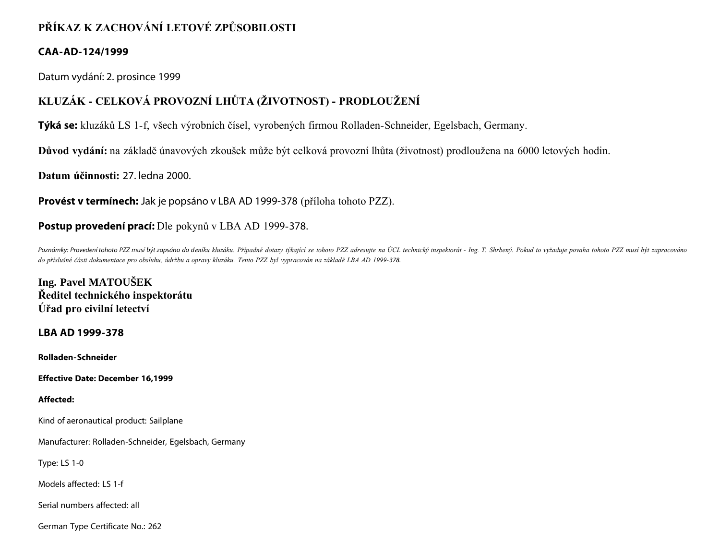# **PŘÍKAZ K ZACHOVÁNÍ LETOVÉ ZPŮSOBILOSTI**

## **CAA-AD-124/1999**

Datum vydání: 2. prosince 1999

# **KLUZÁK - CELKOVÁ PROVOZNÍ LHŮTA (ŽIVOTNOST) - PRODLOUŽENÍ**

**Týká se:** kluzáků LS 1-f, všech výrobních čísel, vyrobených firmou Rolladen-Schneider, Egelsbach, Germany.

**Důvod vydání:** na základě únavových zkoušek může být celková provozní lhůta (životnost) prodloužena na 6000 letových hodin.

**Datum účinnosti:** 27. ledna 2000.

**Provést v termínech:** Jak je popsáno v LBA AD 1999-378 (příloha tohoto PZZ).

## **Postup provedení prací:** Dle pokynů v LBA AD 1999-378.

Poznámky: Provedení tohoto PZZ musí být zapsáno do deníku kluzáku. Případné dotazy týkající se tohoto PZZ adresujte na ÚCL technický inspektorát - Ing. T. Shrbený. Pokud to vyžaduje povaha tohoto PZZ musí být zapracováno *do příslušné části dokumentace pro obsluhu, údržbu a opravy kluzáku. Tento PZZ byl vypracován na základě LBA AD 1999-378.*

**Ing. Pavel MATOUŠEK Ředitel technického inspektorátu Úřad pro civilní letectví**

### **LBA AD 1999-378**

**Rolladen-Schneider**

**Effective Date: December 16,1999**

### **Affected:**

Kind of aeronautical product: Sailplane

Manufacturer: Rolladen-Schneider, Egelsbach, Germany

Type: LS 1-0

Models affected: LS 1-f

Serial numbers affected: all

German Type Certificate No.: 262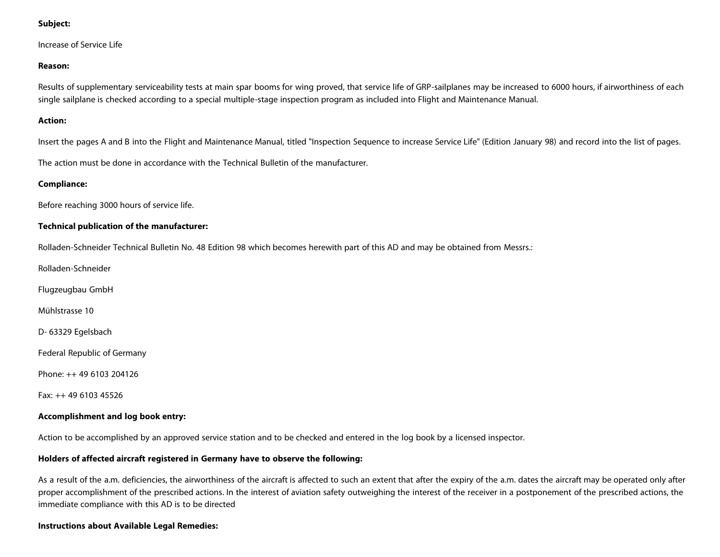#### **Subject:**

Increase of Service Life

#### **Reason:**

Results of supplementary serviceability tests at main spar booms for wing proved, that service life of GRP-sailplanes may be increased to 6000 hours, if airworthiness of each single sailplane is checked according to a special multiple-stage inspection program as included into Flight and Maintenance Manual.

#### **Action:**

Insert the pages A and B into the Flight and Maintenance Manual, titled "Inspection Sequence to increase Service Life" (Edition January 98) and record into the list of pages.

The action must be done in accordance with the Technical Bulletin of the manufacturer.

#### **Compliance:**

Before reaching 3000 hours of service life.

#### **Technical publication of the manufacturer:**

Rolladen-Schneider Technical Bulletin No. 48 Edition 98 which becomes herewith part of this AD and may be obtained from Messrs.:

Rolladen-Schneider

Flugzeugbau GmbH

Mühlstrasse 10

D- 63329 Egelsbach

Federal Republic of Germany

Phone: ++ 49 6103 204126

Fax: ++ 49 6103 45526

#### **Accomplishment and log book entry:**

Action to be accomplished by an approved service station and to be checked and entered in the log book by a licensed inspector.

#### **Holders of affected aircraft registered in Germany have to observe the following:**

As a result of the a.m. deficiencies, the airworthiness of the aircraft is affected to such an extent that after the expiry of the a.m. dates the aircraft may be operated only after proper accomplishment of the prescribed actions. In the interest of aviation safety outweighing the interest of the receiver in a postponement of the prescribed actions, the immediate compliance with this AD is to be directed

#### **Instructions about Available Legal Remedies:**